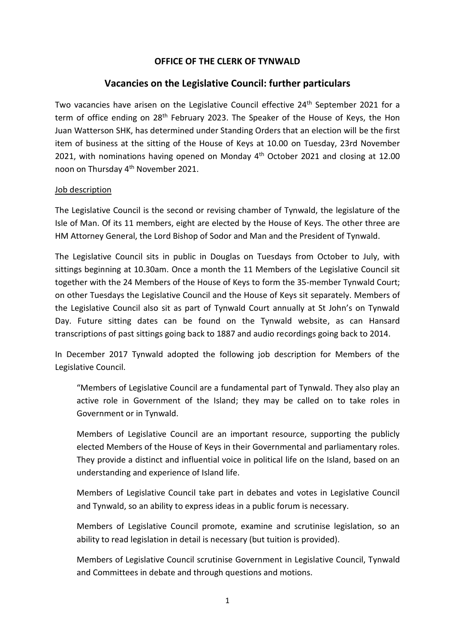## **OFFICE OF THE CLERK OF TYNWALD**

## **Vacancies on the Legislative Council: further particulars**

Two vacancies have arisen on the Legislative Council effective 24<sup>th</sup> September 2021 for a term of office ending on 28<sup>th</sup> February 2023. The Speaker of the House of Keys, the Hon Juan Watterson SHK, has determined under Standing Orders that an election will be the first item of business at the sitting of the House of Keys at 10.00 on Tuesday, 23rd November 2021, with nominations having opened on Monday 4<sup>th</sup> October 2021 and closing at 12.00 noon on Thursday 4th November 2021.

#### Job description

The Legislative Council is the second or revising chamber of Tynwald, the legislature of the Isle of Man. Of its 11 members, eight are elected by the House of Keys. The other three are HM Attorney General, the Lord Bishop of Sodor and Man and the President of Tynwald.

The Legislative Council sits in public in Douglas on Tuesdays from October to July, with sittings beginning at 10.30am. Once a month the 11 Members of the Legislative Council sit together with the 24 Members of the House of Keys to form the 35-member Tynwald Court; on other Tuesdays the Legislative Council and the House of Keys sit separately. Members of the Legislative Council also sit as part of Tynwald Court annually at St John's on Tynwald Day. Future sitting dates can be found on the Tynwald website, as can Hansard transcriptions of past sittings going back to 1887 and audio recordings going back to 2014.

In December 2017 Tynwald adopted the following job description for Members of the Legislative Council.

"Members of Legislative Council are a fundamental part of Tynwald. They also play an active role in Government of the Island; they may be called on to take roles in Government or in Tynwald.

Members of Legislative Council are an important resource, supporting the publicly elected Members of the House of Keys in their Governmental and parliamentary roles. They provide a distinct and influential voice in political life on the Island, based on an understanding and experience of Island life.

Members of Legislative Council take part in debates and votes in Legislative Council and Tynwald, so an ability to express ideas in a public forum is necessary.

Members of Legislative Council promote, examine and scrutinise legislation, so an ability to read legislation in detail is necessary (but tuition is provided).

Members of Legislative Council scrutinise Government in Legislative Council, Tynwald and Committees in debate and through questions and motions.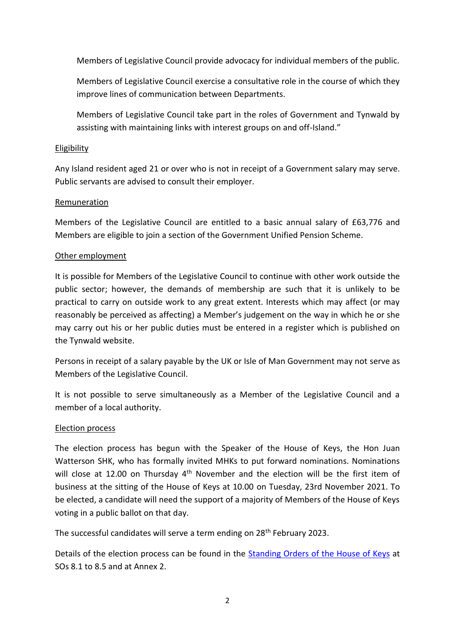Members of Legislative Council provide advocacy for individual members of the public.

Members of Legislative Council exercise a consultative role in the course of which they improve lines of communication between Departments.

Members of Legislative Council take part in the roles of Government and Tynwald by assisting with maintaining links with interest groups on and off-Island."

## Eligibility

Any Island resident aged 21 or over who is not in receipt of a Government salary may serve. Public servants are advised to consult their employer.

## Remuneration

Members of the Legislative Council are entitled to a basic annual salary of £63,776 and Members are eligible to join a section of the Government Unified Pension Scheme.

## Other employment

It is possible for Members of the Legislative Council to continue with other work outside the public sector; however, the demands of membership are such that it is unlikely to be practical to carry on outside work to any great extent. Interests which may affect (or may reasonably be perceived as affecting) a Member's judgement on the way in which he or she may carry out his or her public duties must be entered in a register which is published on the Tynwald website.

Persons in receipt of a salary payable by the UK or Isle of Man Government may not serve as Members of the Legislative Council.

It is not possible to serve simultaneously as a Member of the Legislative Council and a member of a local authority.

# Election process

The election process has begun with the Speaker of the House of Keys, the Hon Juan Watterson SHK, who has formally invited MHKs to put forward nominations. Nominations will close at 12.00 on Thursday  $4<sup>th</sup>$  November and the election will be the first item of business at the sitting of the House of Keys at 10.00 on Tuesday, 23rd November 2021. To be elected, a candidate will need the support of a majority of Members of the House of Keys voting in a public ballot on that day.

The successful candidates will serve a term ending on 28<sup>th</sup> February 2023.

Details of the election process can be found in the [Standing Orders of the House of Keys](https://www.tynwald.org.im/business/sto/Documents/2021-PP-0177.pdf) at SOs 8.1 to 8.5 and at Annex 2.